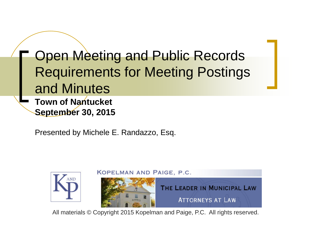**Open Meeting and Public Records** Requirements for Meeting Postings and Minutes **Town of Nantucket September 30, 2015**

Presented by Michele E. Randazzo, Esq.



All materials © Copyright 2015 Kopelman and Paige, P.C. All rights reserved.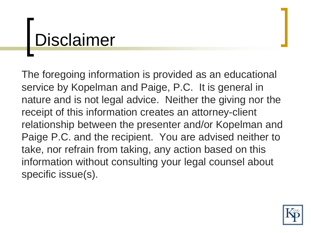## Disclaimer

The foregoing information is provided as an educational service by Kopelman and Paige, P.C. It is general in nature and is not legal advice. Neither the giving nor the receipt of this information creates an attorney-client relationship between the presenter and/or Kopelman and Paige P.C. and the recipient. You are advised neither to take, nor refrain from taking, any action based on this information without consulting your legal counsel about specific issue(s).

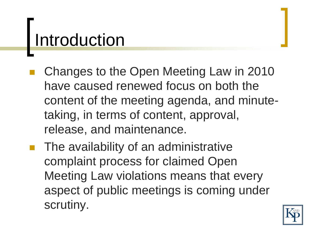### Introduction

- Changes to the Open Meeting Law in 2010 have caused renewed focus on both the content of the meeting agenda, and minutetaking, in terms of content, approval, release, and maintenance.
- The availability of an administrative complaint process for claimed Open Meeting Law violations means that every aspect of public meetings is coming under scrutiny.

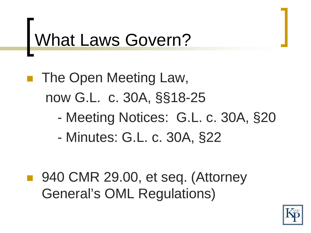## What Laws Govern?

 The Open Meeting Law, now G.L. c. 30A, §§18-25

- Meeting Notices: G.L. c. 30A, §20
- Minutes: G.L. c. 30A, §22
- 940 CMR 29.00, et seq. (Attorney General's OML Regulations)

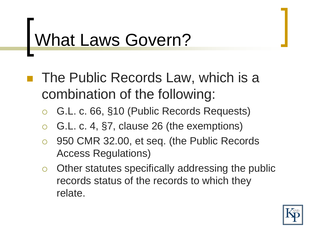## What Laws Govern?

- The Public Records Law, which is a combination of the following:
	- G.L. c. 66, §10 (Public Records Requests)
	- G.L. c. 4, §7, clause 26 (the exemptions)
	- 950 CMR 32.00, et seq. (the Public Records Access Regulations)
	- $\circ$  Other statutes specifically addressing the public records status of the records to which they relate.

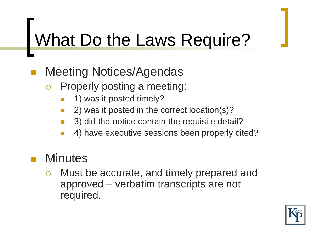## What Do the Laws Require?

- Meeting Notices/Agendas
	- o Properly posting a meeting:
		- 1) was it posted timely?
		- 2) was it posted in the correct location(s)?
		- 3) did the notice contain the requisite detail?
		- 4) have executive sessions been properly cited?

#### **Minutes**

 Must be accurate, and timely prepared and approved – verbatim transcripts are not required.

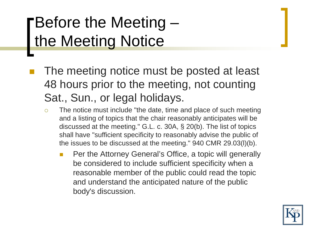#### Before the Meeting – the Meeting Notice

- The meeting notice must be posted at least 48 hours prior to the meeting, not counting Sat., Sun., or legal holidays.
	- $\circ$  The notice must include "the date, time and place of such meeting and a listing of topics that the chair reasonably anticipates will be discussed at the meeting." G.L. c. 30A, § 20(b). The list of topics shall have "sufficient specificity to reasonably advise the public of the issues to be discussed at the meeting." 940 CMR 29.03(l)(b).
		- Per the Attorney General's Office, a topic will generally be considered to include sufficient specificity when a reasonable member of the public could read the topic and understand the anticipated nature of the public body's discussion.

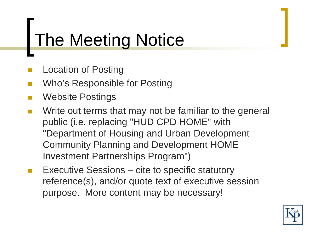#### The Meeting Notice

- Location of Posting
- Who's Responsible for Posting
- Website Postings
- **Notai** Write out terms that may not be familiar to the general public (i.e. replacing "HUD CPD HOME" with "Department of Housing and Urban Development Community Planning and Development HOME Investment Partnerships Program")
- Executive Sessions cite to specific statutory reference(s), and/or quote text of executive session purpose. More content may be necessary!

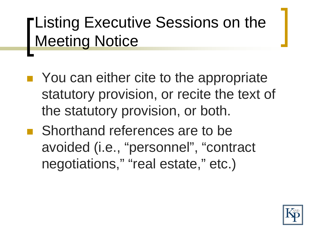#### **Listing Executive Sessions on the Meeting Notice**

- You can either cite to the appropriate statutory provision, or recite the text of the statutory provision, or both.
- Shorthand references are to be avoided (i.e., "personnel", "contract negotiations," "real estate," etc.)

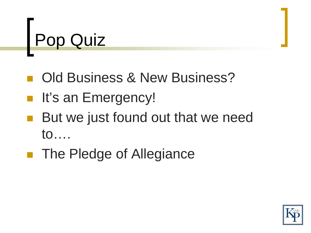## Pop Quiz

- Old Business & New Business?
- It's an Emergency!
- But we just found out that we need to….
- The Pledge of Allegiance

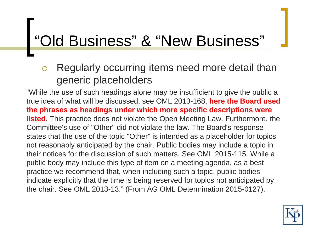# "Old Business" & "New Business"

o Regularly occurring items need more detail than generic placeholders

"While the use of such headings alone may be insufficient to give the public a true idea of what will be discussed, see OML 2013-168, **here the Board used the phrases as headings under which more specific descriptions were listed**. This practice does not violate the Open Meeting Law. Furthermore, the Committee's use of "Other" did not violate the law. The Board's response states that the use of the topic "Other" is intended as a placeholder for topics not reasonably anticipated by the chair. Public bodies may include a topic in their notices for the discussion of such matters. See OML 2015-115. While a public body may include this type of item on a meeting agenda, as a best practice we recommend that, when including such a topic, public bodies indicate explicitly that the time is being reserved for topics not anticipated by the chair. See OML 2013-13." (From AG OML Determination 2015-0127).

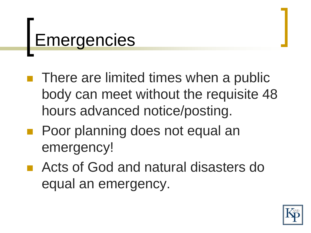## **Emergencies**

- **There are limited times when a public** body can meet without the requisite 48 hours advanced notice/posting.
- Poor planning does not equal an emergency!
- Acts of God and natural disasters do equal an emergency.

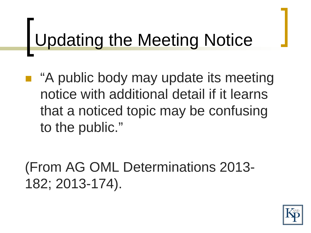# Updating the Meeting Notice

■ "A public body may update its meeting notice with additional detail if it learns that a noticed topic may be confusing to the public."

(From AG OML Determinations 2013- 182; 2013-174).

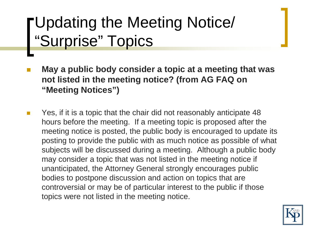#### Updating the Meeting Notice/ "Surprise" Topics

- **May a public body consider a topic at a meeting that was not listed in the meeting notice? (from AG FAQ on "Meeting Notices")**
- Yes, if it is a topic that the chair did not reasonably anticipate 48 hours before the meeting. If a meeting topic is proposed after the meeting notice is posted, the public body is encouraged to update its posting to provide the public with as much notice as possible of what subjects will be discussed during a meeting. Although a public body may consider a topic that was not listed in the meeting notice if unanticipated, the Attorney General strongly encourages public bodies to postpone discussion and action on topics that are controversial or may be of particular interest to the public if those topics were not listed in the meeting notice.

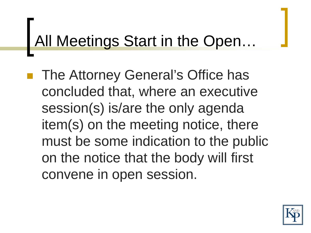#### All Meetings Start in the Open…

 The Attorney General's Office has concluded that, where an executive session(s) is/are the only agenda item(s) on the meeting notice, there must be some indication to the public on the notice that the body will first convene in open session.

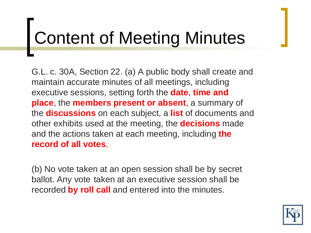## Content of Meeting Minutes

G.L. c. 30A, Section 22. (a) A public body shall create and maintain accurate minutes of all meetings, including executive sessions, setting forth the **date**, **time and place**, the **members present or absent**, a summary of the **discussions** on each subject, a **list** of documents and other exhibits used at the meeting, the **decisions** made and the actions taken at each meeting, including **the record of all votes**.

(b) No vote taken at an open session shall be by secret ballot. Any vote taken at an executive session shall be recorded **by roll call** and entered into the minutes.

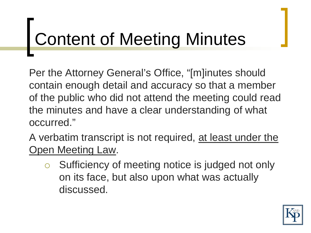## Content of Meeting Minutes

Per the Attorney General's Office, "[m]inutes should contain enough detail and accuracy so that a member of the public who did not attend the meeting could read the minutes and have a clear understanding of what occurred."

A verbatim transcript is not required, at least under the Open Meeting Law.

o Sufficiency of meeting notice is judged not only on its face, but also upon what was actually discussed.

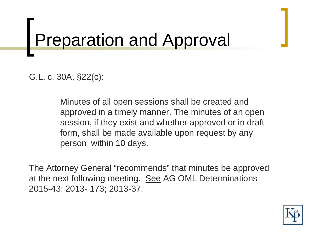# Preparation and Approval

G.L. c. 30A, §22(c):

Minutes of all open sessions shall be created and approved in a timely manner. The minutes of an open session, if they exist and whether approved or in draft form, shall be made available upon request by any person within 10 days.

The Attorney General "recommends" that minutes be approved at the next following meeting. See AG OML Determinations 2015-43; 2013- 173; 2013-37.

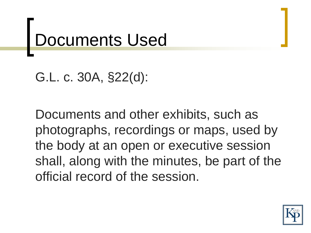## Documents Used

```
G.L. c. 30A, §22(d):
```
Documents and other exhibits, such as photographs, recordings or maps, used by the body at an open or executive session shall, along with the minutes, be part of the official record of the session.

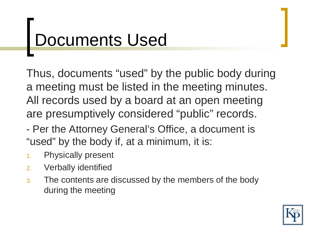## Documents Used

Thus, documents "used" by the public body during a meeting must be listed in the meeting minutes. All records used by a board at an open meeting are presumptively considered "public" records.

- Per the Attorney General's Office, a document is "used" by the body if, at a minimum, it is:
- 1. Physically present
- 2. Verbally identified
- 3. The contents are discussed by the members of the body during the meeting

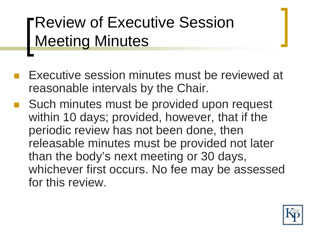#### Review of Executive Session Meeting Minutes

- Executive session minutes must be reviewed at reasonable intervals by the Chair.
- Such minutes must be provided upon request within 10 days; provided, however, that if the periodic review has not been done, then releasable minutes must be provided not later than the body's next meeting or 30 days, whichever first occurs. No fee may be assessed for this review.

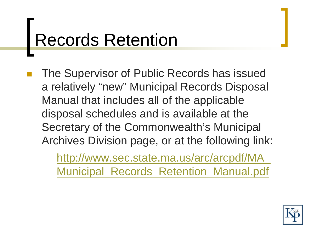#### Records Retention

 The Supervisor of Public Records has issued a relatively "new" Municipal Records Disposal Manual that includes all of the applicable disposal schedules and is available at the Secretary of the Commonwealth's Municipal Archives Division page, or at the following link:

> [http://www.sec.state.ma.us/arc/arcpdf/MA\\_](http://www.sec.state.ma.us/arc/arcpdf/MA_Municipal_Records_Retention_Manual.pdf) [Municipal\\_Records\\_Retention\\_Manual.pdf](http://www.sec.state.ma.us/arc/arcpdf/MA_Municipal_Records_Retention_Manual.pdf)

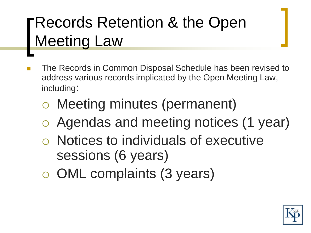#### Records Retention & the Open Meeting Law

- The Records in Common Disposal Schedule has been revised to address various records implicated by the Open Meeting Law, including:
	- Meeting minutes (permanent)
	- Agendas and meeting notices (1 year)
	- Notices to individuals of executive sessions (6 years)
	- OML complaints (3 years)

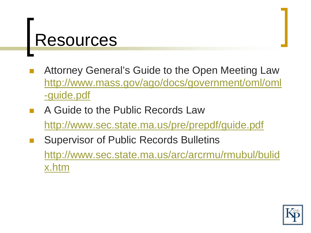#### **Resources**

- Attorney General's Guide to the Open Meeting Law [http://www.mass.gov/ago/docs/government/oml/oml](http://www.mass.gov/ago/docs/government/oml/oml-guide.pdf) [-guide.pdf](http://www.mass.gov/ago/docs/government/oml/oml-guide.pdf)
- A Guide to the Public Records Law <http://www.sec.state.ma.us/pre/prepdf/guide.pdf> Supervisor of Public Records Bulletins

[http://www.sec.state.ma.us/arc/arcrmu/rmubul/bulid](http://www.sec.state.ma.us/arc/arcrmu/rmubul/bulidx.htm) [x.htm](http://www.sec.state.ma.us/arc/arcrmu/rmubul/bulidx.htm)

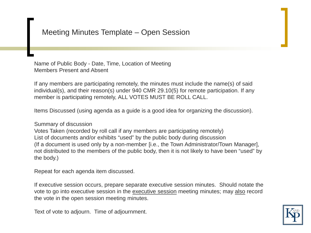#### Meeting Minutes Template – Open Session

Name of Public Body - Date, Time, Location of Meeting Members Present and Absent

If any members are participating remotely, the minutes must include the name(s) of said individual(s), and their reason(s) under 940 CMR 29.10(5) for remote participation. If any member is participating remotely, ALL VOTES MUST BE ROLL CALL.

Items Discussed (using agenda as a guide is a good idea for organizing the discussion).

Summary of discussion

Votes Taken (recorded by roll call if any members are participating remotely) List of documents and/or exhibits "used" by the public body during discussion (If a document is used only by a non-member [i.e., the Town Administrator/Town Manager], not distributed to the members of the public body, then it is not likely to have been "used" by the body.)

Repeat for each agenda item discussed.

If executive session occurs, prepare separate executive session minutes. Should notate the vote to go into executive session in the executive session meeting minutes; may also record the vote in the open session meeting minutes.

Text of vote to adjourn. Time of adjournment.

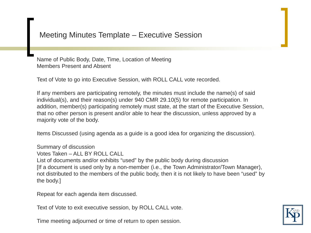#### Meeting Minutes Template – Executive Session

Name of Public Body, Date, Time, Location of Meeting Members Present and Absent

Text of Vote to go into Executive Session, with ROLL CALL vote recorded.

If any members are participating remotely, the minutes must include the name(s) of said individual(s), and their reason(s) under 940 CMR 29.10(5) for remote participation. In addition, member(s) participating remotely must state, at the start of the Executive Session, that no other person is present and/or able to hear the discussion, unless approved by a majority vote of the body.

Items Discussed (using agenda as a guide is a good idea for organizing the discussion).

Summary of discussion

Votes Taken – ALL BY ROLL CALL

List of documents and/or exhibits "used" by the public body during discussion [If a document is used only by a non-member (i.e., the Town Administrator/Town Manager), not distributed to the members of the public body, then it is not likely to have been "used" by the body.]

Repeat for each agenda item discussed.

Text of Vote to exit executive session, by ROLL CALL vote.

Time meeting adjourned or time of return to open session.

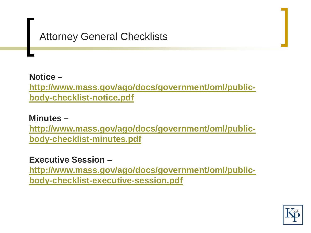#### Attorney General Checklists

**Notice – [http://www.mass.gov/ago/docs/government/oml/public](http://www.mass.gov/ago/docs/government/oml/public-body-checklist-notice.pdf)[body-checklist-notice.pdf](http://www.mass.gov/ago/docs/government/oml/public-body-checklist-notice.pdf)**

**Minutes –**

**[http://www.mass.gov/ago/docs/government/oml/public](http://www.mass.gov/ago/docs/government/oml/public-body-checklist-minutes.pdf)[body-checklist-minutes.pdf](http://www.mass.gov/ago/docs/government/oml/public-body-checklist-minutes.pdf)**

**Executive Session –**

**[http://www.mass.gov/ago/docs/government/oml/public](http://www.mass.gov/ago/docs/government/oml/public-body-checklist-executive-session.pdf)[body-checklist-executive-session.pdf](http://www.mass.gov/ago/docs/government/oml/public-body-checklist-executive-session.pdf)**